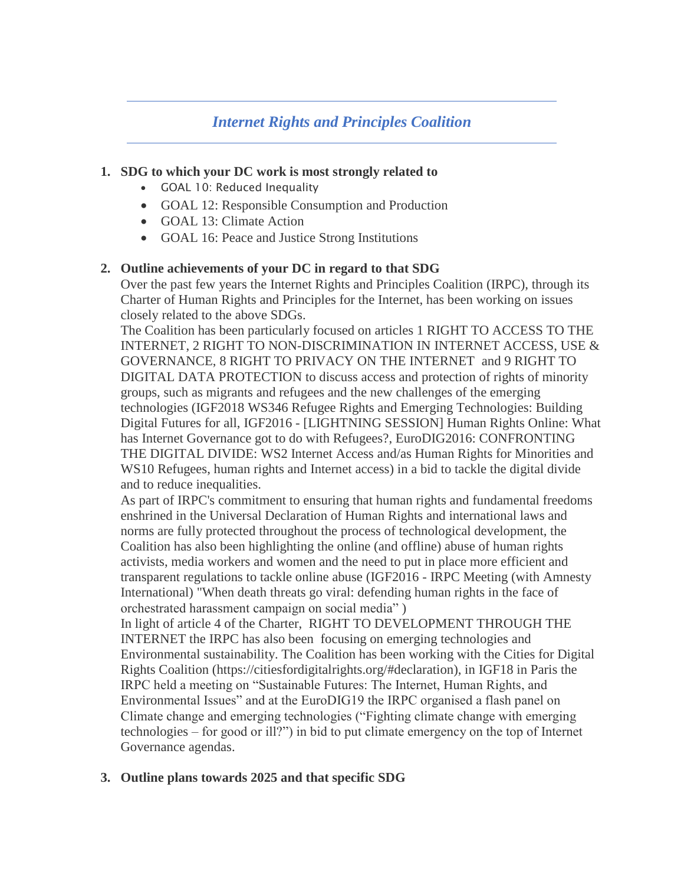# *Internet Rights and Principles Coalition*

### **1. SDG to which your DC work is most strongly related to**

- GOAL 10: Reduced Inequality
- GOAL 12: Responsible Consumption and Production
- GOAL 13: Climate Action
- GOAL 16: Peace and Justice Strong Institutions

### **2. Outline achievements of your DC in regard to that SDG**

Over the past few years the Internet Rights and Principles Coalition (IRPC), through its Charter of Human Rights and Principles for the Internet, has been working on issues closely related to the above SDGs.

The Coalition has been particularly focused on articles 1 RIGHT TO ACCESS TO THE INTERNET, 2 RIGHT TO NON-DISCRIMINATION IN INTERNET ACCESS, USE & GOVERNANCE, 8 RIGHT TO PRIVACY ON THE INTERNET and 9 RIGHT TO DIGITAL DATA PROTECTION to discuss access and protection of rights of minority groups, such as migrants and refugees and the new challenges of the emerging technologies (IGF2018 WS346 Refugee Rights and Emerging Technologies: Building Digital Futures for all, IGF2016 - [LIGHTNING SESSION] Human Rights Online: What has Internet Governance got to do with Refugees?, EuroDIG2016: CONFRONTING THE DIGITAL DIVIDE: WS2 Internet Access and/as Human Rights for Minorities and WS10 Refugees, human rights and Internet access) in a bid to tackle the digital divide and to reduce inequalities.

As part of IRPC's commitment to ensuring that human rights and fundamental freedoms enshrined in the Universal Declaration of Human Rights and international laws and norms are fully protected throughout the process of technological development, the Coalition has also been highlighting the online (and offline) abuse of human rights activists, media workers and women and the need to put in place more efficient and transparent regulations to tackle online abuse (IGF2016 - IRPC Meeting (with Amnesty International) "When death threats go viral: defending human rights in the face of orchestrated harassment campaign on social media" )

In light of article 4 of the Charter, RIGHT TO DEVELOPMENT THROUGH THE INTERNET the IRPC has also been focusing on emerging technologies and Environmental sustainability. The Coalition has been working with the Cities for Digital Rights Coalition (https://citiesfordigitalrights.org/#declaration), in IGF18 in Paris the IRPC held a meeting on "Sustainable Futures: The Internet, Human Rights, and Environmental Issues" and at the EuroDIG19 the IRPC organised a flash panel on Climate change and emerging technologies ("Fighting climate change with emerging technologies – for good or ill?") in bid to put climate emergency on the top of Internet Governance agendas.

## **3. Outline plans towards 2025 and that specific SDG**